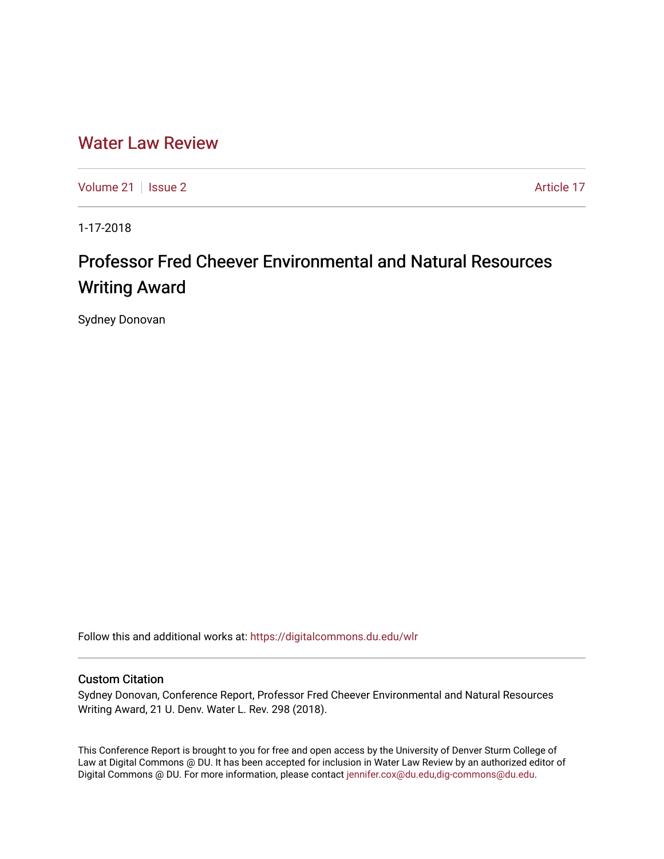## [Water Law Review](https://digitalcommons.du.edu/wlr)

[Volume 21](https://digitalcommons.du.edu/wlr/vol21) | [Issue 2](https://digitalcommons.du.edu/wlr/vol21/iss2) Article 17

1-17-2018

# Professor Fred Cheever Environmental and Natural Resources Writing Award

Sydney Donovan

Follow this and additional works at: [https://digitalcommons.du.edu/wlr](https://digitalcommons.du.edu/wlr?utm_source=digitalcommons.du.edu%2Fwlr%2Fvol21%2Fiss2%2F17&utm_medium=PDF&utm_campaign=PDFCoverPages) 

### Custom Citation

Sydney Donovan, Conference Report, Professor Fred Cheever Environmental and Natural Resources Writing Award, 21 U. Denv. Water L. Rev. 298 (2018).

This Conference Report is brought to you for free and open access by the University of Denver Sturm College of Law at Digital Commons @ DU. It has been accepted for inclusion in Water Law Review by an authorized editor of Digital Commons @ DU. For more information, please contact [jennifer.cox@du.edu,dig-commons@du.edu](mailto:jennifer.cox@du.edu,dig-commons@du.edu).